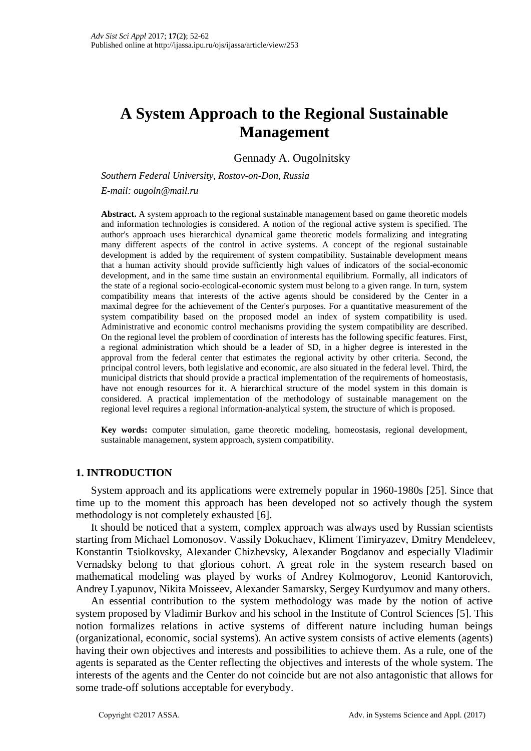# **A System Approach to the Regional Sustainable Management**

Gennady A. Ougolnitsky

*Southern Federal University, Rostov-on-Don, Russia E-mail: ougoln@mail.ru*

**Abstract.** A system approach to the regional sustainable management based on game theoretic models and information technologies is considered. A notion of the regional active system is specified. The author's approach uses hierarchical dynamical game theoretic models formalizing and integrating many different aspects of the control in active systems. A concept of the regional sustainable development is added by the requirement of system compatibility. Sustainable development means that a human activity should provide sufficiently high values of indicators of the social-economic development, and in the same time sustain an environmental equilibrium. Formally, all indicators of the state of a regional socio-ecological-economic system must belong to a given range. In turn, system compatibility means that interests of the active agents should be considered by the Center in a maximal degree for the achievement of the Center's purposes. For a quantitative measurement of the system compatibility based on the proposed model an index of system compatibility is used. Administrative and economic control mechanisms providing the system compatibility are described. On the regional level the problem of coordination of interests has the following specific features. First, a regional administration which should be a leader of SD, in a higher degree is interested in the approval from the federal center that estimates the regional activity by other criteria. Second, the principal control levers, both legislative and economic, are also situated in the federal level. Third, the municipal districts that should provide a practical implementation of the requirements of homeostasis, have not enough resources for it. A hierarchical structure of the model system in this domain is considered. A practical implementation of the methodology of sustainable management on the regional level requires a regional information-analytical system, the structure of which is proposed.

**Key words:** computer simulation, game theoretic modeling, homeostasis, regional development, sustainable management, system approach, system compatibility.

# **1. INTRODUCTION**

System approach and its applications were extremely popular in 1960-1980s [25]. Since that time up to the moment this approach has been developed not so actively though the system methodology is not completely exhausted [6].

It should be noticed that a system, complex approach was always used by Russian scientists starting from Michael Lomonosov. Vassily Dokuchaev, Kliment Timiryazev, Dmitry Mendeleev, Konstantin Tsiolkovsky, Alexander Chizhevsky, Alexander Bogdanov and especially Vladimir Vernadsky belong to that glorious cohort. A great role in the system research based on mathematical modeling was played by works of Andrey Kolmogorov, Leonid Kantorovich, Andrey Lyapunov, Nikita Moisseev, Alexander Samarsky, Sergey Kurdyumov and many others.

An essential contribution to the system methodology was made by the notion of active system proposed by Vladimir Burkov and his school in the Institute of Control Sciences [5]. This notion formalizes relations in active systems of different nature including human beings (organizational, economic, social systems). An active system consists of active elements (agents) having their own objectives and interests and possibilities to achieve them. As a rule, one of the agents is separated as the Center reflecting the objectives and interests of the whole system. The interests of the agents and the Center do not coincide but are not also antagonistic that allows for some trade-off solutions acceptable for everybody.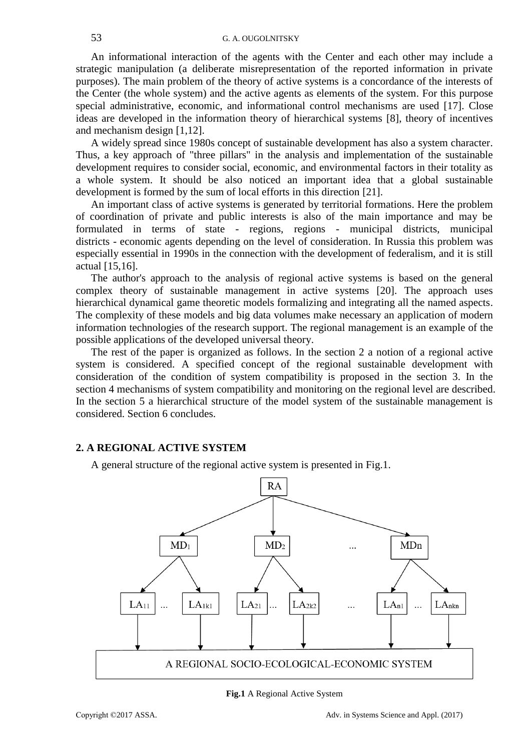An informational interaction of the agents with the Center and each other may include a strategic manipulation (a deliberate misrepresentation of the reported information in private purposes). The main problem of the theory of active systems is a concordance of the interests of the Center (the whole system) and the active agents as elements of the system. For this purpose special administrative, economic, and informational control mechanisms are used [17]. Close ideas are developed in the information theory of hierarchical systems [8], theory of incentives and mechanism design [1,12].

A widely spread since 1980s concept of sustainable development has also a system character. Thus, a key approach of "three pillars" in the analysis and implementation of the sustainable development requires to consider social, economic, and environmental factors in their totality as a whole system. It should be also noticed an important idea that a global sustainable development is formed by the sum of local efforts in this direction [21].

An important class of active systems is generated by territorial formations. Here the problem of coordination of private and public interests is also of the main importance and may be formulated in terms of state - regions, regions - municipal districts, municipal districts - economic agents depending on the level of consideration. In Russia this problem was especially essential in 1990s in the connection with the development of federalism, and it is still actual [15,16].

The author's approach to the analysis of regional active systems is based on the general complex theory of sustainable management in active systems [20]. The approach uses hierarchical dynamical game theoretic models formalizing and integrating all the named aspects. The complexity of these models and big data volumes make necessary an application of modern information technologies of the research support. The regional management is an example of the possible applications of the developed universal theory.

The rest of the paper is organized as follows. In the section 2 a notion of a regional active system is considered. A specified concept of the regional sustainable development with consideration of the condition of system compatibility is proposed in the section 3. In the section 4 mechanisms of system compatibility and monitoring on the regional level are described. In the section 5 a hierarchical structure of the model system of the sustainable management is considered. Section 6 concludes.

# **2. A REGIONAL ACTIVE SYSTEM**

A general structure of the regional active system is presented in Fig.1.



**Fig.1** A Regional Active System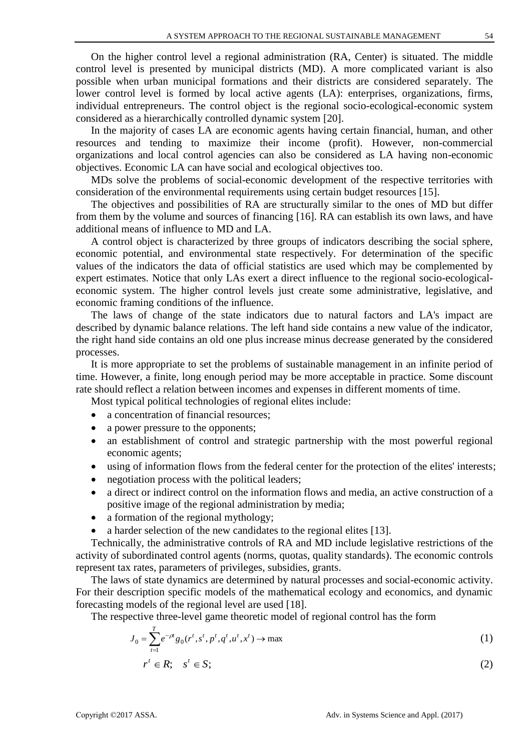On the higher control level a regional administration (RA, Center) is situated. The middle control level is presented by municipal districts (MD). A more complicated variant is also possible when urban municipal formations and their districts are considered separately. The lower control level is formed by local active agents (LA): enterprises, organizations, firms, individual entrepreneurs. The control object is the regional socio-ecological-economic system considered as a hierarchically controlled dynamic system [20].

In the majority of cases LA are economic agents having certain financial, human, and other resources and tending to maximize their income (profit). However, non-commercial organizations and local control agencies can also be considered as LA having non-economic objectives. Economic LA can have social and ecological objectives too.

MDs solve the problems of social-economic development of the respective territories with consideration of the environmental requirements using certain budget resources [15].

The objectives and possibilities of RA are structurally similar to the ones of MD but differ from them by the volume and sources of financing [16]. RA can establish its own laws, and have additional means of influence to MD and LA.

A control object is characterized by three groups of indicators describing the social sphere, economic potential, and environmental state respectively. For determination of the specific values of the indicators the data of official statistics are used which may be complemented by expert estimates. Notice that only LAs exert a direct influence to the regional socio-ecologicaleconomic system. The higher control levels just create some administrative, legislative, and economic framing conditions of the influence.

The laws of change of the state indicators due to natural factors and LA's impact are described by dynamic balance relations. The left hand side contains a new value of the indicator, the right hand side contains an old one plus increase minus decrease generated by the considered processes.

It is more appropriate to set the problems of sustainable management in an infinite period of time. However, a finite, long enough period may be more acceptable in practice. Some discount rate should reflect a relation between incomes and expenses in different moments of time.

Most typical political technologies of regional elites include:

- a concentration of financial resources;
- a power pressure to the opponents;
- an establishment of control and strategic partnership with the most powerful regional economic agents;
- using of information flows from the federal center for the protection of the elites' interests;
- negotiation process with the political leaders;
- a direct or indirect control on the information flows and media, an active construction of a positive image of the regional administration by media;
- a formation of the regional mythology;
- a harder selection of the new candidates to the regional elites [13].

Technically, the administrative controls of RA and MD include legislative restrictions of the activity of subordinated control agents (norms, quotas, quality standards). The economic controls represent tax rates, parameters of privileges, subsidies, grants.

The laws of state dynamics are determined by natural processes and social-economic activity. For their description specific models of the mathematical ecology and economics, and dynamic forecasting models of the regional level are used [18].

The respective three-level game theoretic model of regional control has the form

$$
J_0 = \sum_{t=1}^{T} e^{-\rho t} g_0(r^t, s^t, p^t, q^t, u^t, x^t) \to \max
$$
 (1)

$$
r^t \in R; \quad s^t \in S; \tag{2}
$$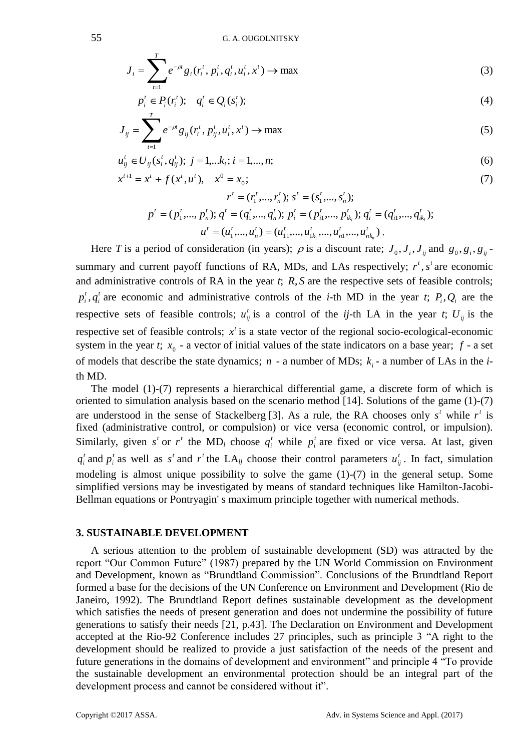$$
J_i = \sum_{t=1}^{T} e^{-\rho t} g_i(r_i^t, p_i^t, q_i^t, u_i^t, x^t) \to \max
$$
 (3)

$$
p_i^t \in P_i(r_i^t); \quad q_i^t \in Q_i(s_i^t); \tag{4}
$$

$$
J_{ij} = \sum_{t=1}^{T} e^{-\rho t} g_{ij}(r_i^t, p_{ij}^t, u_i^t, x^t) \to \max
$$
 (5)

$$
u_{ij}^t \in U_{ij}(s_i^t, q_{ij}^t); \ j = 1, \dots, k_i; \ i = 1, \dots, n; \tag{6}
$$

$$
x^{t+1} = x^t + f(x^t, u^t), \quad x^0 = x_0;
$$
\n(7)

$$
r^{t} = (r_{1}^{t},...,r_{n}^{t}); s^{t} = (s_{1}^{t},...,s_{n}^{t});
$$
  
\n
$$
p^{t} = (p_{1}^{t},...,p_{n}^{t}); q^{t} = (q_{1}^{t},...,q_{n}^{t}); p_{i}^{t} = (p_{i1}^{t},...,p_{ik_{i}}^{t}); q_{i}^{t} = (q_{i1}^{t},...,q_{ik_{i}}^{t});
$$
  
\n
$$
u^{t} = (u_{1}^{t},...,u_{n}^{t}) = (u_{11}^{t},...,u_{1k_{1}}^{t},...,u_{nk_{n}}^{t}).
$$

Here *T* is a period of consideration (in years);  $\rho$  is a discount rate;  $J_0$ ,  $J_i$ ,  $J_{ij}$  and  $g_0$ ,  $g_i$ ,  $g_{ij}$ summary and current payoff functions of RA, MDs, and LAs respectively;  $r^t$ ,  $s^t$  are economic and administrative controls of RA in the year *t*; *R*, *S* are the respective sets of feasible controls; *t i*  $p_i^t$ ,  $q_i^t$  are economic and administrative controls of the *i*-th MD in the year *t*;  $P_i$ ,  $Q_i$  are the respective sets of feasible controls;  $u_{ij}^t$  is a control of the *ij*-th LA in the year *t*;  $U_{ij}$  is the respective set of feasible controls;  $x<sup>t</sup>$  is a state vector of the regional socio-ecological-economic system in the year *t*;  $x_0$  - a vector of initial values of the state indicators on a base year;  $f$  - a set of models that describe the state dynamics;  $n - a$  number of MDs;  $k_i - a$  number of LAs in the *i*th MD.

The model (1)-(7) represents a hierarchical differential game, a discrete form of which is oriented to simulation analysis based on the scenario method [14]. Solutions of the game (1)-(7) are understood in the sense of Stackelberg [3]. As a rule, the RA chooses only  $s<sup>t</sup>$  while  $r<sup>t</sup>$  is fixed (administrative control, or compulsion) or vice versa (economic control, or impulsion). Similarly, given  $s^t$  or  $r^t$  the MD<sub>i</sub> choose  $q_i^t$  while  $p_i^t$  are fixed or vice versa. At last, given  $q_i^t$  and  $p_i^t$  as well as  $s^t$  and  $r^t$  the LA<sub>*ij*</sub> choose their control parameters  $u_{ij}^t$ . In fact, simulation modeling is almost unique possibility to solve the game (1)-(7) in the general setup. Some simplified versions may be investigated by means of standard techniques like Hamilton-Jacobi-Bellman equations or Pontryagin' s maximum principle together with numerical methods.

## **3. SUSTAINABLE DEVELOPMENT**

A serious attention to the problem of sustainable development (SD) was attracted by the report "Our Common Future" (1987) prepared by the UN World Commission on Environment and Development, known as "Brundtland Commission". Conclusions of the Brundtland Report formed a base for the decisions of the UN Conference on Environment and Development (Rio de Janeiro, 1992). The Brundtland Report defines sustainable development as the development which satisfies the needs of present generation and does not undermine the possibility of future generations to satisfy their needs [21, p.43]. The Declaration on Environment and Development accepted at the Rio-92 Conference includes 27 principles, such as principle 3 "A right to the development should be realized to provide a just satisfaction of the needs of the present and future generations in the domains of development and environment" and principle 4 "To provide the sustainable development an environmental protection should be an integral part of the development process and cannot be considered without it".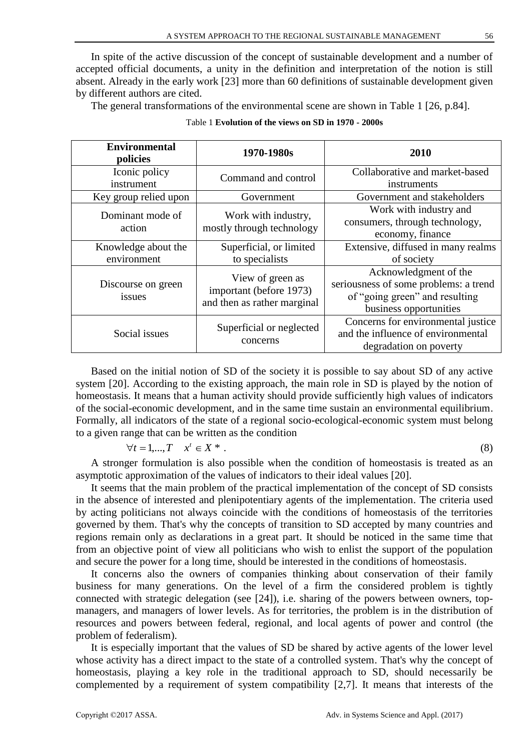In spite of the active discussion of the concept of sustainable development and a number of accepted official documents, a unity in the definition and interpretation of the notion is still absent. Already in the early work [23] more than 60 definitions of sustainable development given by different authors are cited.

The general transformations of the environmental scene are shown in Table 1 [26, p.84].

| <b>Environmental</b><br>policies   | 1970-1980s                                                                 | 2010                                                                                                                       |
|------------------------------------|----------------------------------------------------------------------------|----------------------------------------------------------------------------------------------------------------------------|
| Iconic policy<br>instrument        | Command and control                                                        | Collaborative and market-based<br>instruments                                                                              |
| Key group relied upon              | Government                                                                 | Government and stakeholders                                                                                                |
| Dominant mode of<br>action         | Work with industry,<br>mostly through technology                           | Work with industry and<br>consumers, through technology,<br>economy, finance                                               |
| Knowledge about the<br>environment | Superficial, or limited<br>to specialists                                  | Extensive, diffused in many realms<br>of society                                                                           |
| Discourse on green<br>issues       | View of green as<br>important (before 1973)<br>and then as rather marginal | Acknowledgment of the<br>seriousness of some problems: a trend<br>of "going green" and resulting<br>business opportunities |
| Social issues                      | Superficial or neglected<br>concerns                                       | Concerns for environmental justice<br>and the influence of environmental<br>degradation on poverty                         |

|  | Table 1 Evolution of the views on SD in 1970 - 2000s |  |  |  |  |  |  |
|--|------------------------------------------------------|--|--|--|--|--|--|
|--|------------------------------------------------------|--|--|--|--|--|--|

Based on the initial notion of SD of the society it is possible to say about SD of any active system [20]. According to the existing approach, the main role in SD is played by the notion of homeostasis. It means that a human activity should provide sufficiently high values of indicators of the social-economic development, and in the same time sustain an environmental equilibrium. Formally, all indicators of the state of a regional socio-ecological-economic system must belong to a given range that can be written as the condition

$$
\forall t = 1, \dots, T \quad x^t \in X^* \tag{8}
$$

A stronger formulation is also possible when the condition of homeostasis is treated as an asymptotic approximation of the values of indicators to their ideal values [20].

It seems that the main problem of the practical implementation of the concept of SD consists in the absence of interested and plenipotentiary agents of the implementation. The criteria used by acting politicians not always coincide with the conditions of homeostasis of the territories governed by them. That's why the concepts of transition to SD accepted by many countries and regions remain only as declarations in a great part. It should be noticed in the same time that from an objective point of view all politicians who wish to enlist the support of the population and secure the power for a long time, should be interested in the conditions of homeostasis.

It concerns also the owners of companies thinking about conservation of their family business for many generations. On the level of a firm the considered problem is tightly connected with strategic delegation (see [24]), i.e. sharing of the powers between owners, topmanagers, and managers of lower levels. As for territories, the problem is in the distribution of resources and powers between federal, regional, and local agents of power and control (the problem of federalism).

It is especially important that the values of SD be shared by active agents of the lower level whose activity has a direct impact to the state of a controlled system. That's why the concept of homeostasis, playing a key role in the traditional approach to SD, should necessarily be complemented by a requirement of system compatibility [2,7]. It means that interests of the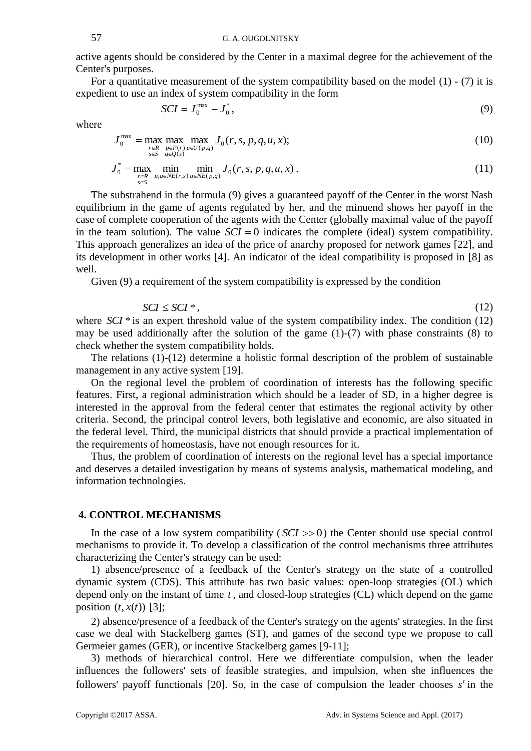active agents should be considered by the Center in a maximal degree for the achievement of the Center's purposes.

For a quantitative measurement of the system compatibility based on the model  $(1)$  -  $(7)$  it is expedient to use an index of system compatibility in the form

$$
SCI = J_0^{\max} - J_0^*,\tag{9}
$$

where

$$
J_0^{\max} = \max_{\substack{r \in R \\ s \in S}} \max_{\substack{p \in P(r) \\ q \in Q(s)}} \max_{u \in U(p,q)} J_0(r,s,p,q,u,x); \tag{10}
$$

$$
J_0^* = \max_{\substack{r \in R \\ s \in S}} \min_{p,q \in NE(r,s)} \min_{u \in NE(p,q)} J_0(r,s,p,q,u,x) \,. \tag{11}
$$

The substrahend in the formula (9) gives a guaranteed payoff of the Center in the worst Nash equilibrium in the game of agents regulated by her, and the minuend shows her payoff in the case of complete cooperation of the agents with the Center (globally maximal value of the payoff in the team solution). The value  $\mathcal{S}CI = 0$  indicates the complete (ideal) system compatibility. This approach generalizes an idea of the price of anarchy proposed for network games [22], and its development in other works [4]. An indicator of the ideal compatibility is proposed in [8] as well.

Given (9) a requirement of the system compatibility is expressed by the condition

$$
SCI \leq SCI^*,\tag{12}
$$

where  $\frac{SCI}{*}$  is an expert threshold value of the system compatibility index. The condition (12) may be used additionally after the solution of the game (1)-(7) with phase constraints (8) to check whether the system compatibility holds.

The relations (1)-(12) determine a holistic formal description of the problem of sustainable management in any active system [19].

On the regional level the problem of coordination of interests has the following specific features. First, a regional administration which should be a leader of SD, in a higher degree is interested in the approval from the federal center that estimates the regional activity by other criteria. Second, the principal control levers, both legislative and economic, are also situated in the federal level. Third, the municipal districts that should provide a practical implementation of the requirements of homeostasis, have not enough resources for it.

Thus, the problem of coordination of interests on the regional level has a special importance and deserves a detailed investigation by means of systems analysis, mathematical modeling, and information technologies.

#### **4. CONTROL MECHANISMS**

In the case of a low system compatibility  $(SCI \gg 0)$  the Center should use special control mechanisms to provide it. To develop a classification of the control mechanisms three attributes characterizing the Center's strategy can be used:

1) absence/presence of a feedback of the Center's strategy on the state of a controlled dynamic system (CDS). This attribute has two basic values: open-loop strategies (OL) which depend only on the instant of time *t* , and closed-loop strategies (CL) which depend on the game position  $(t, x(t))$  [3];

2) absence/presence of a feedback of the Center's strategy on the agents' strategies. In the first case we deal with Stackelberg games (ST), and games of the second type we propose to call Germeier games (GER), or incentive Stackelberg games [9-11];

3) methods of hierarchical control. Here we differentiate compulsion, when the leader influences the followers' sets of feasible strategies, and impulsion, when she influences the followers' payoff functionals [20]. So, in the case of compulsion the leader chooses  $s<sup>t</sup>$  in the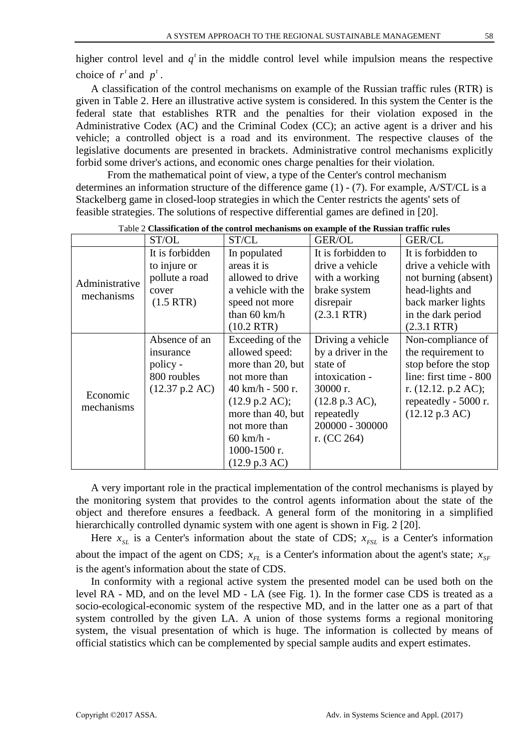higher control level and  $q<sup>t</sup>$  in the middle control level while impulsion means the respective choice of  $r^t$  and  $p^t$ .

A classification of the control mechanisms on example of the Russian traffic rules (RTR) is given in Table 2. Here an illustrative active system is considered. In this system the Center is the federal state that establishes RTR and the penalties for their violation exposed in the Administrative Codex (AC) and the Criminal Codex (CC); an active agent is a driver and his vehicle; a controlled object is a road and its environment. The respective clauses of the legislative documents are presented in brackets. Administrative control mechanisms explicitly forbid some driver's actions, and economic ones charge penalties for their violation.

From the mathematical point of view, a type of the Center's control mechanism determines an information structure of the difference game (1) - (7). For example, А/ST/CL is a Stackelberg game in closed-loop strategies in which the Center restricts the agents' sets of feasible strategies. The solutions of respective differential games are defined in [20].

|                              | ST/OL                    | ST/CL                      | GER/OL                   | <b>GER/CL</b>            |  |
|------------------------------|--------------------------|----------------------------|--------------------------|--------------------------|--|
|                              | It is forbidden          | In populated               | It is forbidden to       | It is forbidden to       |  |
| Administrative<br>mechanisms | to injure or             | areas it is                | drive a vehicle          | drive a vehicle with     |  |
|                              | pollute a road           | allowed to drive           | with a working           | not burning (absent)     |  |
|                              | cover                    | a vehicle with the         | brake system             | head-lights and          |  |
|                              | $(1.5$ RTR)              | speed not more             | disrepair                | back marker lights       |  |
|                              |                          | than $60 \text{ km/h}$     | $(2.3.1$ RTR)            | in the dark period       |  |
|                              |                          | $(10.2$ RTR)               |                          | $(2.3.1$ RTR)            |  |
|                              | Absence of an            | Exceeding of the           | Driving a vehicle        | Non-compliance of        |  |
| Economic<br>mechanisms       | insurance                | allowed speed:             | by a driver in the       | the requirement to       |  |
|                              | policy -                 | more than 20, but          | state of                 | stop before the stop     |  |
|                              | 800 roubles              | not more than              | intoxication -           | line: first time - 800   |  |
|                              | $(12.37 \text{ p.2 AC})$ | $40 \text{ km/h}$ - 500 r. | $30000r$ .               | r. $(12.12. p.2 AC);$    |  |
|                              |                          | $(12.9 \text{ p.2 AC});$   | $(12.8 \text{ p.3 AC}),$ | repeatedly - 5000 r.     |  |
|                              |                          | more than 40, but          | repeatedly               | $(12.12 \text{ p.3 AC})$ |  |
|                              |                          | not more than              | 200000 - 300000          |                          |  |
|                              |                          | $60$ km/h -                | r. $(CC 264)$            |                          |  |
|                              |                          | 1000-1500 r.               |                          |                          |  |
|                              |                          | (12.9 p.3 AC)              |                          |                          |  |

Table 2 **Classification of the control mechanisms on example of the Russian traffic rules**

A very important role in the practical implementation of the control mechanisms is played by the monitoring system that provides to the control agents information about the state of the object and therefore ensures a feedback. A general form of the monitoring in a simplified hierarchically controlled dynamic system with one agent is shown in Fig. 2 [20].

Here  $x_{SL}$  is a Center's information about the state of CDS;  $x_{FSL}$  is a Center's information about the impact of the agent on CDS;  $x_{FL}$  is a Center's information about the agent's state;  $x_{SF}$ is the agent's information about the state of CDS.

In conformity with a regional active system the presented model can be used both on the level RA - MD, and on the level MD - LA (see Fig. 1). In the former case CDS is treated as a socio-ecological-economic system of the respective MD, and in the latter one as a part of that system controlled by the given LA. A union of those systems forms a regional monitoring system, the visual presentation of which is huge. The information is collected by means of official statistics which can be complemented by special sample audits and expert estimates.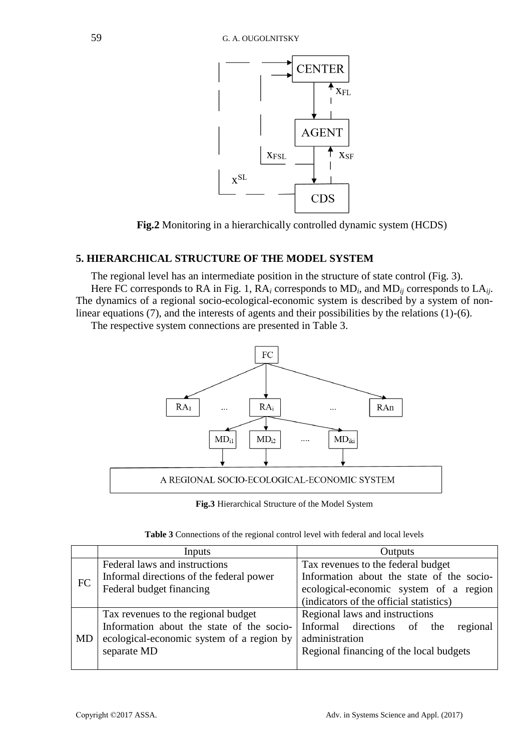

**Fig.2** Monitoring in a hierarchically controlled dynamic system (HCDS)

# **5. HIERARCHICAL STRUCTURE OF THE MODEL SYSTEM**

The regional level has an intermediate position in the structure of state control (Fig. 3).

Here FC corresponds to RA in Fig. 1, RA*<sup>i</sup>* corresponds to MD*<sup>i</sup>* , and MD*ij* corresponds to LA*ij*. The dynamics of a regional socio-ecological-economic system is described by a system of nonlinear equations (7), and the interests of agents and their possibilities by the relations (1)-(6).

The respective system connections are presented in Table 3.



**Fig.3** Hierarchical Structure of the Model System

| Table 3 Connections of the regional control level with federal and local levels |  |  |  |  |
|---------------------------------------------------------------------------------|--|--|--|--|
|---------------------------------------------------------------------------------|--|--|--|--|

|    | Inputs                                    | Outputs                                   |  |  |  |
|----|-------------------------------------------|-------------------------------------------|--|--|--|
|    | Federal laws and instructions             | Tax revenues to the federal budget        |  |  |  |
|    | Informal directions of the federal power  | Information about the state of the socio- |  |  |  |
| FC | Federal budget financing                  | ecological-economic system of a region    |  |  |  |
|    |                                           | (indicators of the official statistics)   |  |  |  |
|    | Tax revenues to the regional budget       | Regional laws and instructions            |  |  |  |
|    | Information about the state of the socio- | Informal directions of the<br>regional    |  |  |  |
| MD | ecological-economic system of a region by | administration                            |  |  |  |
|    | separate MD                               | Regional financing of the local budgets   |  |  |  |
|    |                                           |                                           |  |  |  |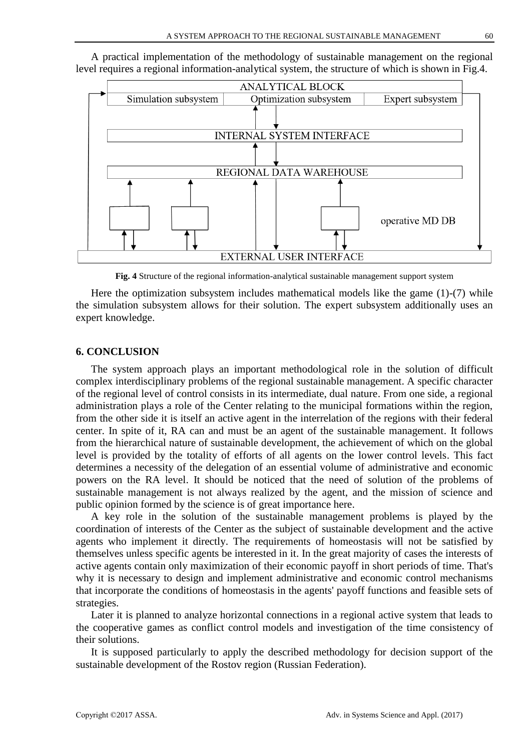

A practical implementation of the methodology of sustainable management on the regional level requires a regional information-analytical system, the structure of which is shown in Fig.4.

**Fig. 4** Structure of the regional information-analytical sustainable management support system

Here the optimization subsystem includes mathematical models like the game (1)-(7) while the simulation subsystem allows for their solution. The expert subsystem additionally uses an expert knowledge.

## **6. CONCLUSION**

The system approach plays an important methodological role in the solution of difficult complex interdisciplinary problems of the regional sustainable management. A specific character of the regional level of control consists in its intermediate, dual nature. From one side, a regional administration plays a role of the Center relating to the municipal formations within the region, from the other side it is itself an active agent in the interrelation of the regions with their federal center. In spite of it, RA can and must be an agent of the sustainable management. It follows from the hierarchical nature of sustainable development, the achievement of which on the global level is provided by the totality of efforts of all agents on the lower control levels. This fact determines a necessity of the delegation of an essential volume of administrative and economic powers on the RA level. It should be noticed that the need of solution of the problems of sustainable management is not always realized by the agent, and the mission of science and public opinion formed by the science is of great importance here.

A key role in the solution of the sustainable management problems is played by the coordination of interests of the Center as the subject of sustainable development and the active agents who implement it directly. The requirements of homeostasis will not be satisfied by themselves unless specific agents be interested in it. In the great majority of cases the interests of active agents contain only maximization of their economic payoff in short periods of time. That's why it is necessary to design and implement administrative and economic control mechanisms that incorporate the conditions of homeostasis in the agents' payoff functions and feasible sets of strategies.

Later it is planned to analyze horizontal connections in a regional active system that leads to the cooperative games as conflict control models and investigation of the time consistency of their solutions.

It is supposed particularly to apply the described methodology for decision support of the sustainable development of the Rostov region (Russian Federation).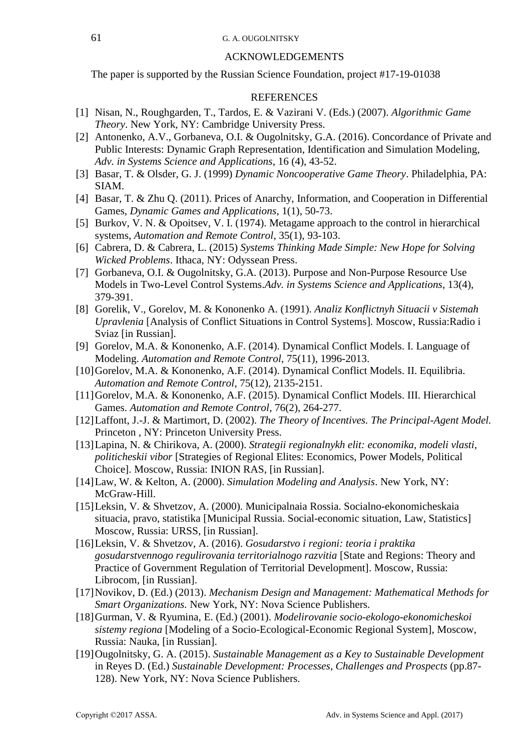## ACKNOWLEDGEMENTS

The paper is supported by the Russian Science Foundation, project #17-19-01038

## **REFERENCES**

- [1] Nisan, N., Roughgarden, T., Tardos, E. & Vazirani V. (Eds.) (2007). *Algorithmic Game Theory*. New York, NY: Cambridge University Press.
- [2] Antonenko, A.V., Gorbaneva, O.I. & Ougolnitsky, G.A. (2016). Concordance of Private and Public Interests: Dynamic Graph Representation, Identification and Simulation Modeling, *Adv. in Systems Science and Applications*, 16 (4), 43-52.
- [3] Basar, T. & Olsder, G. J. (1999) *Dynamic Noncooperative Game Theory*. Philadelphia, PA: SIAM.
- [4] Basar, T. & Zhu Q. (2011). Prices of Anarchy, Information, and Cooperation in Differential Games, *Dynamic Games and Applications*, 1(1), 50-73.
- [5] Burkov, V. N. & Opoitsev, V. I. (1974). Metagame approach to the control in hierarchical systems, *Automation and Remote Control*, 35(1), 93-103.
- [6] Cabrera, D. & Cabrera, L. (2015) *Systems Thinking Made Simple: New Hope for Solving Wicked Problems*. Ithaca, NY: Odyssean Press.
- [7] Gorbaneva, O.I. & Ougolnitsky, G.A. (2013). Purpose and Non-Purpose Resource Use Models in Two-Level Control Systems.*Adv. in Systems Science and Applications*, 13(4), 379-391.
- [8] Gorelik, V., Gorelov, M. & Kononenko A. (1991). *Analiz Konflictnyh Situacii v Sistemah Upravlenia* [Analysis of Conflict Situations in Control Systems]*.* Moscow, Russia:Radio i Sviaz [in Russian].
- [9] Gorelov, M.A. & Kononenko, A.F. (2014). Dynamical Conflict Models. I. Language of Modeling. *Automation and Remote Control*, 75(11), 1996-2013.
- [10] Gorelov, M.A. & Kononenko, A.F. (2014). Dynamical Conflict Models. II. Equilibria. *Automation and Remote Control*, 75(12), 2135-2151.
- [11]Gorelov, M.A. & Kononenko, A.F. (2015). Dynamical Conflict Models. III. Hierarchical Games. *Automation and Remote Control*, 76(2), 264-277.
- [12]Laffont, J.-J. & Martimort, D. (2002). *The Theory of Incentives. The Principal-Agent Model.* Princeton , NY: Princeton University Press.
- [13]Lapina, N. & Chirikova, A. (2000). *Strategii regionalnykh elit: economika, modeli vlasti, politicheskii vibor* [Strategies of Regional Elites: Economics, Power Models, Political Choice]. Moscow, Russia: INION RAS, [in Russian].
- [14]Law, W. & Kelton, A. (2000). *Simulation Modeling and Analysis*. New York, NY: McGraw-Hill.
- [15]Leksin, V. & Shvetzov, A. (2000). Municipalnaia Rossia. Socialno-ekonomicheskaia situacia, pravo, statistika [Municipal Russia. Social-economic situation, Law, Statistics] Moscow, Russia: URSS, [in Russian].
- [16]Leksin, V. & Shvetzov, A. (2016). *Gosudarstvo i regioni: teoria i praktika gosudarstvennogo regulirovania territorialnogo razvitia* [State and Regions: Theory and Practice of Government Regulation of Territorial Development]. Moscow, Russia: Librocom, [in Russian].
- [17]Novikov, D. (Ed.) (2013). *Mechanism Design and Management: Mathematical Methods for Smart Organizations.* New York, NY: Nova Science Publishers.
- [18]Gurman, V. & Ryumina, E. (Ed.) (2001). *Modelirovanie socio-ekologo-ekonomicheskoi sistemy regiona* [Modeling of a Socio-Ecological-Economic Regional System], Moscow, Russia: Nauka, [in Russian].
- [19]Ougolnitsky, G. A. (2015). *Sustainable Management as a Key to Sustainable Development* in Reyes D. (Ed.) *Sustainable Development: Processes, Challenges and Prospects* (pp.87- 128). New York, NY: Nova Science Publishers.